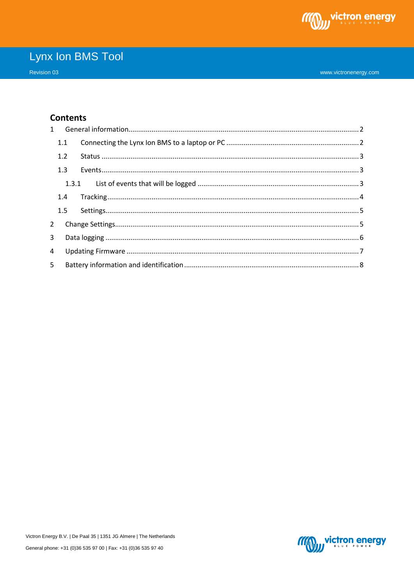

### **Contents**

|                | 1.1 |  |  |  |  |  |
|----------------|-----|--|--|--|--|--|
|                | 1.2 |  |  |  |  |  |
|                | 1.3 |  |  |  |  |  |
|                |     |  |  |  |  |  |
|                | 1.4 |  |  |  |  |  |
|                |     |  |  |  |  |  |
|                |     |  |  |  |  |  |
| 3 <sup>1</sup> |     |  |  |  |  |  |
| $\overline{4}$ |     |  |  |  |  |  |
| 5 <sup>1</sup> |     |  |  |  |  |  |

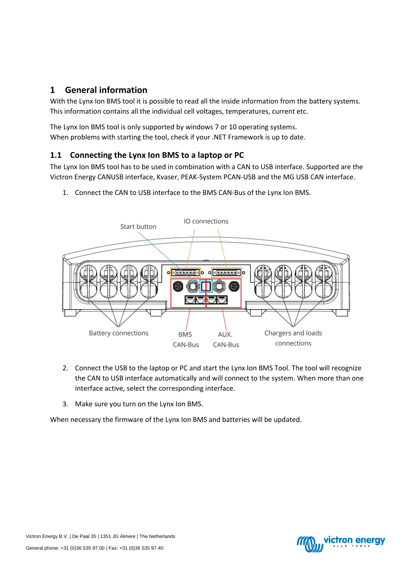## <span id="page-1-0"></span>**1 General information**

With the Lynx Ion BMS tool it is possible to read all the inside information from the battery systems. This information contains all the individual cell voltages, temperatures, current etc.

The Lynx Ion BMS tool is only supported by windows 7 or 10 operating systems. When problems with starting the tool, check if your .NET Framework is up to date.

### <span id="page-1-1"></span>**1.1 Connecting the Lynx Ion BMS to a laptop or PC**

The Lynx Ion BMS tool has to be used in combination with a CAN to USB interface. Supported are the Victron Energy CANUSB interface, Kvaser, PEAK-System PCAN-USB and the MG USB CAN interface.

- IO connections Start button  $0<sub>08-8</sub>$ **Battery connections** Chargers and loads **BMS** AUX. connections CAN-Bus CAN-Bus
- 1. Connect the CAN to USB interface to the BMS CAN-Bus of the Lynx Ion BMS.

- 2. Connect the USB to the laptop or PC and start the Lynx Ion BMS Tool. The tool will recognize the CAN to USB interface automatically and will connect to the system. When more than one interface active, select the corresponding interface.
- 3. Make sure you turn on the Lynx Ion BMS.

When necessary the firmware of the Lynx Ion BMS and batteries will be updated.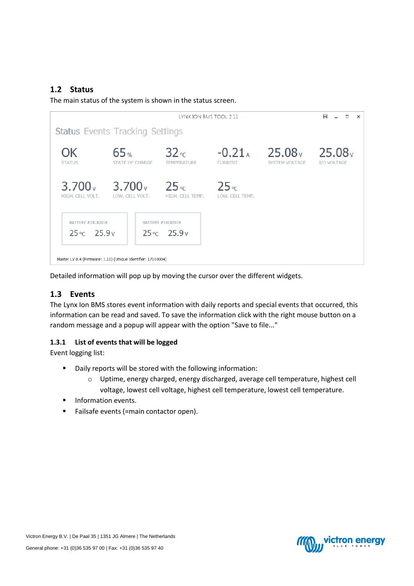### <span id="page-2-0"></span>**1.2 Status**

The main status of the system is shown in the status screen.



Detailed information will pop up by moving the cursor over the different widgets.

### <span id="page-2-1"></span>**1.3 Events**

The Lynx Ion BMS stores event information with daily reports and special events that occurred, this information can be read and saved. To save the information click with the right mouse button on a random message and a popup will appear with the option "Save to file..."

#### <span id="page-2-2"></span>**1.3.1 List of events that will be logged**

Event logging list:

- Daily reports will be stored with the following information:
	- o Uptime, energy charged, energy discharged, average cell temperature, highest cell voltage, lowest cell voltage, highest cell temperature, lowest cell temperature.
- Information events.
- Failsafe events (=main contactor open).

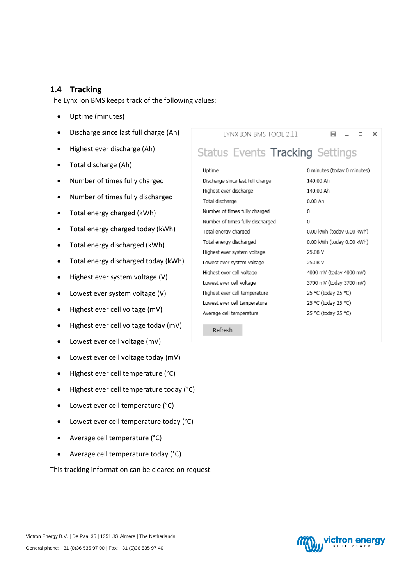### <span id="page-3-0"></span>**1.4 Tracking**

The Lynx Ion BMS keeps track of the following values:

- Uptime (minutes)
- Discharge since last full charge (Ah)
- Highest ever discharge (Ah)
- Total discharge (Ah)
- Number of times fully charged
- Number of times fully discharged
- Total energy charged (kWh)
- Total energy charged today (kWh)
- Total energy discharged (kWh)
- Total energy discharged today (kWh)
- Highest ever system voltage (V)
- Lowest ever system voltage (V)
- Highest ever cell voltage (mV)
- $\bullet$  Highest ever cell voltage today (mV)
- Lowest ever cell voltage (mV)
- Lowest ever cell voltage today (mV)
- Highest ever cell temperature (°C)
- Highest ever cell temperature today (°C)
- Lowest ever cell temperature (°C)
- Lowest ever cell temperature today (°C)
- Average cell temperature (°C)
- Average cell temperature today (°C)

This tracking information can be cleared on request.

LYNX ION BMS TOOL 2.11

H.  $\Box$   $\times$ 

# Status Events Tracking Settings

### Uptime Discharge since last full charge Highest ever discharge Total discharge Number of times fully charged Number of times fully discharged Total energy charged Total energy discharged Highest ever system voltage Lowest ever system voltage Highest ever cell voltage Lowest ever cell voltage Highest ever cell temperature Lowest ever cell temperature Average cell temperature

0 minutes (today 0 minutes) 140.00 Ah 140.00 Ah 0.00 Ah  $\theta$  $\Omega$ 0.00 kWh (today 0.00 kWh) 0.00 kWh (today 0.00 kWh) 25.08 V 25.08 V 4000 mV (today 4000 mV) 3700 mV (today 3700 mV) 25 °C (today 25 °C) 25 °C (today 25 °C) 25 °C (today 25 °C)

Refresh

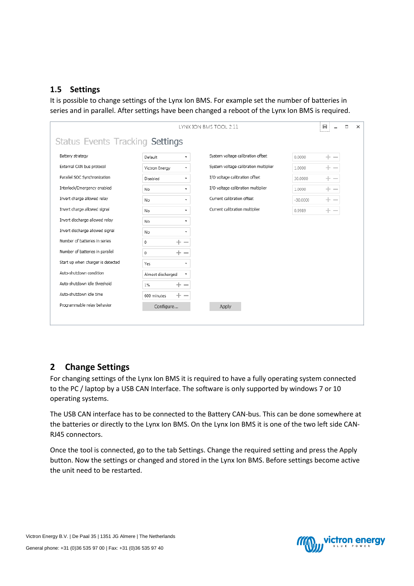### <span id="page-4-0"></span>**1.5 Settings**

It is possible to change settings of the Lynx Ion BMS. For example set the number of batteries in series and in parallel. After settings have been changed a reboot of the Lynx Ion BMS is required.

| LYNX ION BMS TOOL 2.11<br>н<br>о<br>$\times$ |                                              |                                       |                 |  |  |  |  |  |
|----------------------------------------------|----------------------------------------------|---------------------------------------|-----------------|--|--|--|--|--|
| Status Events Tracking Settings              |                                              |                                       |                 |  |  |  |  |  |
| Battery strategy                             | Default<br>$\overline{\mathbf{v}}$           | System voltage calibration offset     | $+ -$<br>0.0000 |  |  |  |  |  |
| External CAN bus protocol                    | Victron Energy<br>$\overline{\phantom{a}}$   | System voltage calibration multiplier | 1.0000          |  |  |  |  |  |
| Parallel SOC Synchronization                 | Disabled<br>$\overline{\phantom{a}}$         | I/O voltage calibration offset        | 30.0000         |  |  |  |  |  |
| Interlock/Emergency enabled                  | No<br>$\overline{\phantom{a}}$               | I/O voltage calibration multiplier    | 1.0000          |  |  |  |  |  |
| Invert charge allowed relay                  | No<br>$\overline{\phantom{a}}$               | Current calibration offset            | $-30.0000$      |  |  |  |  |  |
| Invert charge allowed signal                 | $\cdot$<br>No                                | Current calibration multiplier        | 0.9989<br>-- -  |  |  |  |  |  |
| Invert discharge allowed relay               | No<br>$\overline{\mathbf{v}}$                |                                       |                 |  |  |  |  |  |
| Invert discharge allowed signal              | No<br>$\cdot$                                |                                       |                 |  |  |  |  |  |
| Number of batteries in series                | $\pm$<br>0<br>$\overline{\phantom{a}}$       |                                       |                 |  |  |  |  |  |
| Number of batteries in parallel              | $\pm$<br>0<br>$\sim$                         |                                       |                 |  |  |  |  |  |
| Start up when charger is detected            | Yes<br>$\overline{\phantom{a}}$              |                                       |                 |  |  |  |  |  |
| Auto-shutdown condition                      | Almost discharged<br>$\overline{\mathbf{v}}$ |                                       |                 |  |  |  |  |  |
| Auto-shutdown idle threshold                 | 1%<br>$+ -$                                  |                                       |                 |  |  |  |  |  |
| Auto-shutdown idle time                      | $+ -$<br>600 minutes                         |                                       |                 |  |  |  |  |  |
| Programmable relay behavior                  | Configure                                    | Apply                                 |                 |  |  |  |  |  |
|                                              |                                              |                                       |                 |  |  |  |  |  |

## <span id="page-4-1"></span>**2 Change Settings**

For changing settings of the Lynx Ion BMS it is required to have a fully operating system connected to the PC / laptop by a USB CAN Interface. The software is only supported by windows 7 or 10 operating systems.

The USB CAN interface has to be connected to the Battery CAN-bus. This can be done somewhere at the batteries or directly to the Lynx Ion BMS. On the Lynx Ion BMS it is one of the two left side CAN-RJ45 connectors.

Once the tool is connected, go to the tab Settings. Change the required setting and press the Apply button. Now the settings or changed and stored in the Lynx Ion BMS. Before settings become active the unit need to be restarted.

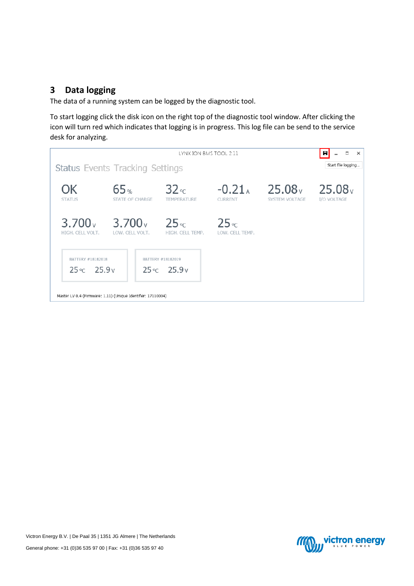## <span id="page-5-0"></span>**3 Data logging**

The data of a running system can be logged by the diagnostic tool.

To start logging click the disk icon on the right top of the diagnostic tool window. After clicking the icon will turn red which indicates that logging is in progress. This log file can be send to the service desk for analyzing.





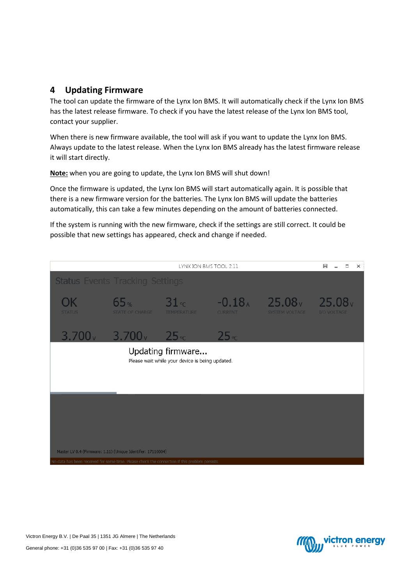## <span id="page-6-0"></span>**4 Updating Firmware**

The tool can update the firmware of the Lynx Ion BMS. It will automatically check if the Lynx Ion BMS has the latest release firmware. To check if you have the latest release of the Lynx Ion BMS tool, contact your supplier.

When there is new firmware available, the tool will ask if you want to update the Lynx Ion BMS. Always update to the latest release. When the Lynx Ion BMS already has the latest firmware release it will start directly.

**Note:** when you are going to update, the Lynx Ion BMS will shut down!

Once the firmware is updated, the Lynx Ion BMS will start automatically again. It is possible that there is a new firmware version for the batteries. The Lynx Ion BMS will update the batteries automatically, this can take a few minutes depending on the amount of batteries connected.

If the system is running with the new firmware, check if the settings are still correct. It could be possible that new settings has appeared, check and change if needed.



Victron Energy B.V. | De Paal 35 | 1351 JG Almere | The Netherlands



General phone: +31 (0)36 535 97 00 | Fax: +31 (0)36 535 97 40